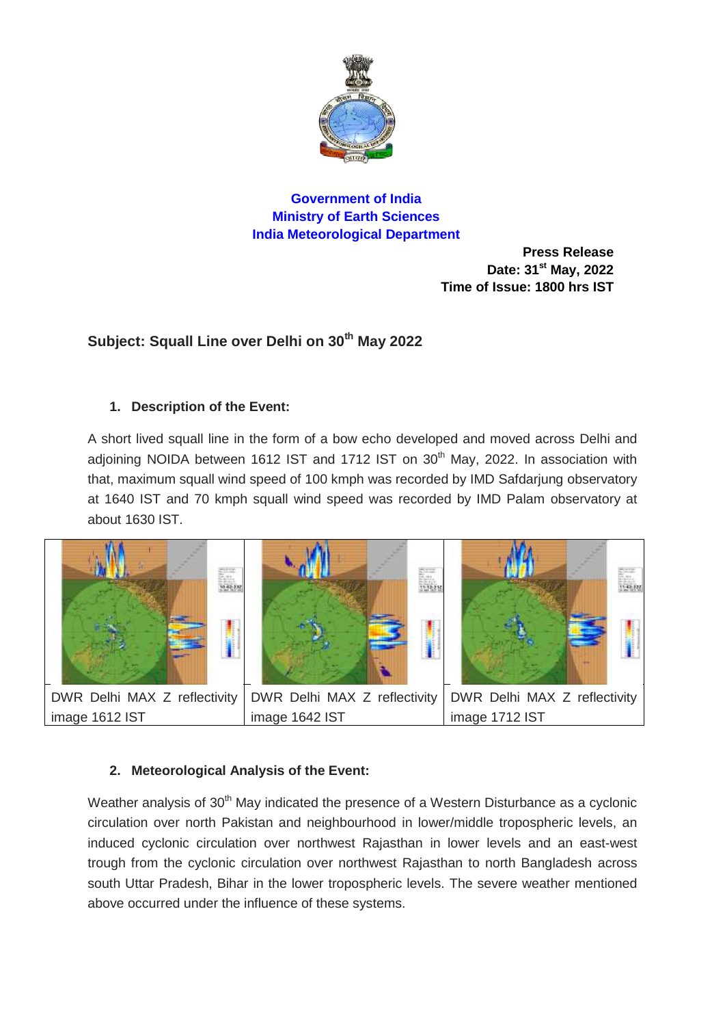

## **Government of India Ministry of Earth Sciences India Meteorological Department**

**Press Release Date: 31 st May, 2022 Time of Issue: 1800 hrs IST**

# **Subject: Squall Line over Delhi on 30th May 2022**

### **1. Description of the Event:**

A short lived squall line in the form of a bow echo developed and moved across Delhi and adjoining NOIDA between 1612 IST and 1712 IST on 30<sup>th</sup> May, 2022. In association with that, maximum squall wind speed of 100 kmph was recorded by IMD Safdarjung observatory at 1640 IST and 70 kmph squall wind speed was recorded by IMD Palam observatory at about 1630 IST.



image 1612 IST image 1642 IST image 1712 IST

## **2. Meteorological Analysis of the Event:**

Weather analysis of 30<sup>th</sup> May indicated the presence of a Western Disturbance as a cyclonic circulation over north Pakistan and neighbourhood in lower/middle tropospheric levels, an induced cyclonic circulation over northwest Rajasthan in lower levels and an east-west trough from the cyclonic circulation over northwest Rajasthan to north Bangladesh across south Uttar Pradesh, Bihar in the lower tropospheric levels. The severe weather mentioned above occurred under the influence of these systems.